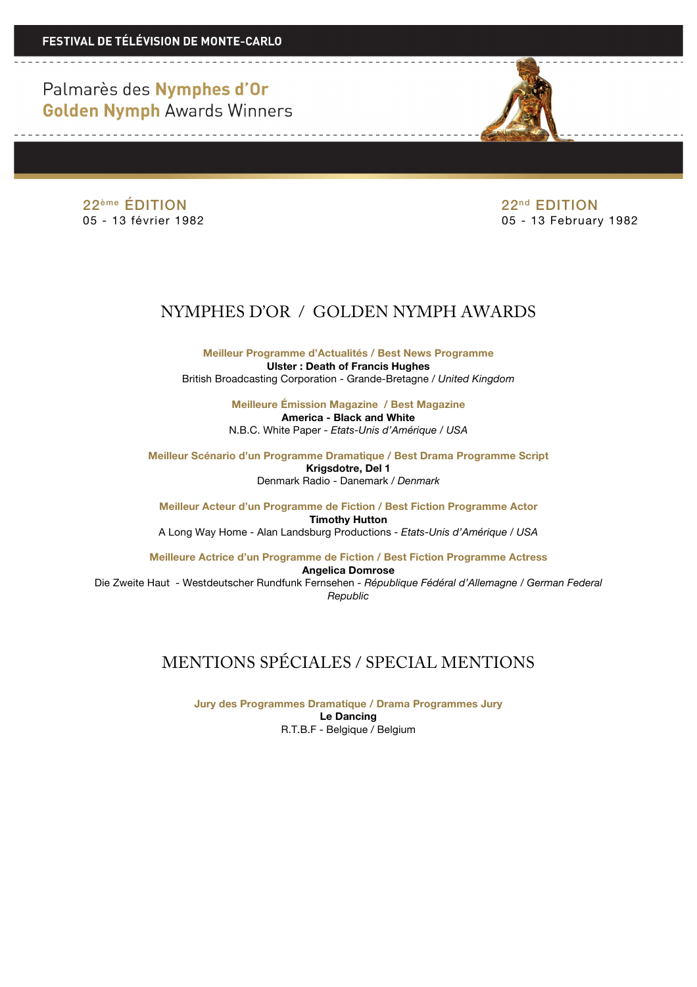Palmarès des Nymphes d'Or **Golden Nymph Awards Winners** 

22ème ÉDITION 22nd EDITION

05 - 13 février 1982 05 - 13 February 1982

## NYMPHES D'OR / GOLDEN NYMPH AWARDS

**Meilleur Programme d'Actualités / Best News Programme Ulster : Death of Francis Hughes** British Broadcasting Corporation - Grande-Bretagne / *United Kingdom*

> **Meilleure Émission Magazine / Best Magazine America - Black and White** N.B.C. White Paper - *Etats-Unis d'Amérique / USA*

**Meilleur Scénario d'un Programme Dramatique / Best Drama Programme Script Krigsdotre, Del 1** Denmark Radio - Danemark */ Denmark*

**Meilleur Acteur d'un Programme de Fiction / Best Fiction Programme Actor Timothy Hutton** A Long Way Home - Alan Landsburg Productions *- Etats-Unis d'Amérique / USA*

**Meilleure Actrice d'un Programme de Fiction / Best Fiction Programme Actress Angelica Domrose**

Die Zweite Haut - Westdeutscher Rundfunk Fernsehen *- République Fédéral d'Allemagne / German Federal Republic*

## MENTIONS SPÉCIALES / SPECIAL MENTIONS

**Jury des Programmes Dramatique / Drama Programmes Jury Le Dancing** R.T.B.F - Belgique / Belgium